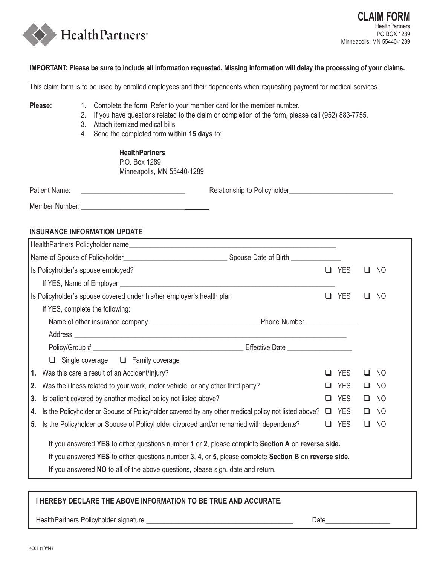

## **IMPORTANT: Please be sure to include all information requested. Missing information will delay the processing of your claims.**

This claim form is to be used by enrolled employees and their dependents when requesting payment for medical services.

- Please: 1. Complete the form. Refer to your member card for the member number.
	- 2. If you have questions related to the claim or completion of the form, please call (952) 883-7755.
	- 3. Attach itemized medical bills.
	- 4. Send the completed form **within 15 days** to:

 **HealthPartners** P.O. Box 1289 Minneapolis, MN 55440-1289

| Patient Name: | Relationship to Policyholder |  |
|---------------|------------------------------|--|
|               |                              |  |

Member Number: **We** 

## **Insurance Information Update**

| HealthPartners Policyholder name                                                                                                                                                                           |        |            |              |     |  |  |  |
|------------------------------------------------------------------------------------------------------------------------------------------------------------------------------------------------------------|--------|------------|--------------|-----|--|--|--|
|                                                                                                                                                                                                            |        |            |              |     |  |  |  |
| Is Policyholder's spouse employed?                                                                                                                                                                         |        | Q YES      | Q NO         |     |  |  |  |
|                                                                                                                                                                                                            |        |            |              |     |  |  |  |
| Is Policyholder's spouse covered under his/her employer's health plan                                                                                                                                      | $\Box$ | <b>YES</b> | $\Box$       | NO. |  |  |  |
| If YES, complete the following:                                                                                                                                                                            |        |            |              |     |  |  |  |
|                                                                                                                                                                                                            |        |            |              |     |  |  |  |
|                                                                                                                                                                                                            |        |            |              |     |  |  |  |
|                                                                                                                                                                                                            |        |            |              |     |  |  |  |
| $\Box$ Single coverage $\Box$ Family coverage                                                                                                                                                              |        |            |              |     |  |  |  |
| 1. Was this care a result of an Accident/Injury?                                                                                                                                                           | □      | <b>YES</b> | $\Box$ No    |     |  |  |  |
| 2. Was the illness related to your work, motor vehicle, or any other third party?                                                                                                                          |        |            | $\square$ NO |     |  |  |  |
| 3. Is patient covered by another medical policy not listed above?                                                                                                                                          |        |            | $\square$ NO |     |  |  |  |
| 4. Is the Policyholder or Spouse of Policyholder covered by any other medical policy not listed above?                                                                                                     |        |            | $\Box$ No    |     |  |  |  |
| 5. Is the Policyholder or Spouse of Policyholder divorced and/or remarried with dependents?                                                                                                                |        |            | $\Box$ No    |     |  |  |  |
| If you answered YES to either questions number 1 or 2, please complete Section A on reverse side.<br>If you answered YES to either questions number 3, 4, or 5, please complete Section B on reverse side. |        |            |              |     |  |  |  |
| If you answered NO to all of the above questions, please sign, date and return.                                                                                                                            |        |            |              |     |  |  |  |
|                                                                                                                                                                                                            |        |            |              |     |  |  |  |

## **I hereby declare the above information to be true and accurate.**

HealthPartners Policyholder signature \_\_\_\_\_\_\_\_\_\_\_\_\_\_\_\_\_\_\_\_\_\_\_\_\_\_\_\_\_\_\_\_\_\_\_\_\_\_\_\_\_ Date\_\_\_\_\_\_\_\_\_\_\_\_\_\_\_\_\_\_